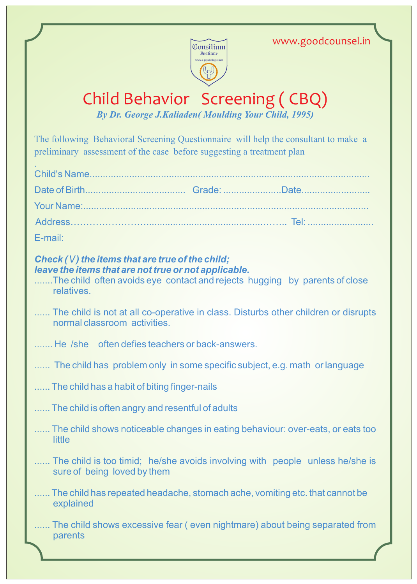www.goodcounsel.in



## Child Behavior Screening ( CBQ)

*By Dr. George J.Kaliaden( Moulding Your Child, 1995)* 

The following Behavioral Screening Questionnaire will help the consultant to make a preliminary assessment of the case before suggesting a treatment plan

| E-mail: |  |
|---------|--|

## *Check ( \/ ) the items that are true of the child; leave the items that are not true or not applicable.*

- .......The child often avoids eye contact and rejects hugging by parents of close relatives.
- ....... The child is not at all co-operative in class. Disturbs other children or disrupts normal classroom activities.
- ....... He /she often defies teachers or back-answers.
- ....... The child has problem only in some specific subject, e.g. math or language
- ...... The child has a habit of biting finger-nails
- ...... The child is often angry and resentful of adults
- ...... The child shows noticeable changes in eating behaviour: over-eats, or eats too **little**
- ....... The child is too timid; he/she avoids involving with people unless he/she is sure of being loved by them
- ...... The child has repeated headache, stomach ache, vomiting etc. that cannot be explained
- ...... The child shows excessive fear (even nightmare) about being separated from parents